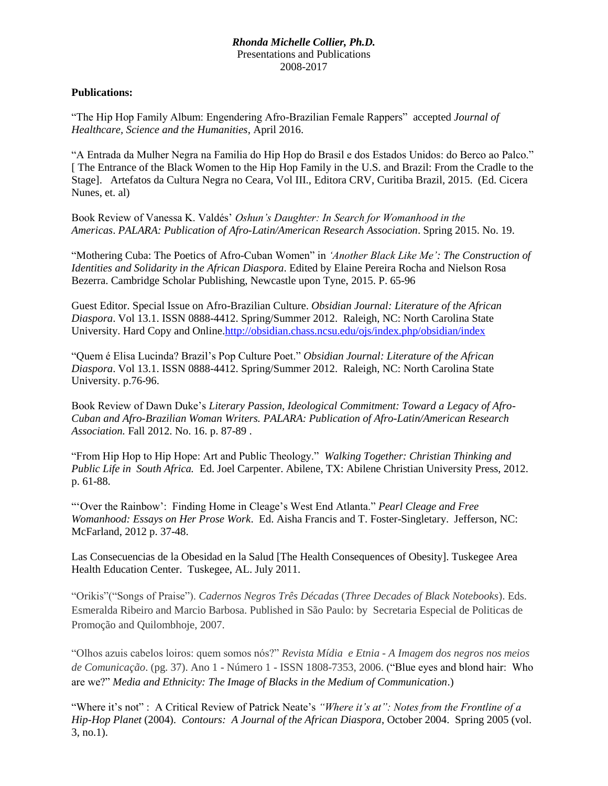## *Rhonda Michelle Collier, Ph.D.* Presentations and Publications 2008-2017

## **Publications:**

"The Hip Hop Family Album: Engendering Afro-Brazilian Female Rappers" accepted *Journal of Healthcare, Science and the Humanities*, April 2016.

"A Entrada da Mulher Negra na Familia do Hip Hop do Brasil e dos Estados Unidos: do Berco ao Palco." [ The Entrance of the Black Women to the Hip Hop Family in the U.S. and Brazil: From the Cradle to the Stage]. Artefatos da Cultura Negra no Ceara, Vol III., Editora CRV, Curitiba Brazil, 2015. (Ed. Cicera Nunes, et. al)

Book Review of Vanessa K. Valdés' *Oshun's Daughter: In Search for Womanhood in the Americas*. *PALARA: Publication of Afro-Latin/American Research Association*. Spring 2015. No. 19.

"Mothering Cuba: The Poetics of Afro-Cuban Women" in *'Another Black Like Me': The Construction of Identities and Solidarity in the African Diaspora*. Edited by Elaine Pereira Rocha and Nielson Rosa Bezerra. Cambridge Scholar Publishing, Newcastle upon Tyne, 2015. P. 65-96

Guest Editor. Special Issue on Afro-Brazilian Culture. *Obsidian Journal: Literature of the African Diaspora*. Vol 13.1. ISSN 0888-4412. Spring/Summer 2012. Raleigh, NC: North Carolina State University. Hard Copy and Online[.http://obsidian.chass.ncsu.edu/ojs/index.php/obsidian/index](http://obsidian.chass.ncsu.edu/ojs/index.php/obsidian/index)

"Quem é Elisa Lucinda? Brazil's Pop Culture Poet." *Obsidian Journal: Literature of the African Diaspora*. Vol 13.1. ISSN 0888-4412. Spring/Summer 2012. Raleigh, NC: North Carolina State University. p.76-96.

Book Review of Dawn Duke's *Literary Passion, Ideological Commitment: Toward a Legacy of Afro-Cuban and Afro-Brazilian Woman Writers. PALARA: Publication of Afro-Latin/American Research Association.* Fall 2012. No. 16. p. 87-89 .

"From Hip Hop to Hip Hope: Art and Public Theology." *Walking Together: Christian Thinking and Public Life in South Africa.* Ed. Joel Carpenter. Abilene, TX: Abilene Christian University Press, 2012. p. 61-88.

"'Over the Rainbow': Finding Home in Cleage's West End Atlanta." *Pearl Cleage and Free Womanhood: Essays on Her Prose Work*. Ed. Aisha Francis and T. Foster-Singletary. Jefferson, NC: McFarland, 2012 p. 37-48.

Las Consecuencias de la Obesidad en la Salud [The Health Consequences of Obesity]. Tuskegee Area Health Education Center. Tuskegee, AL. July 2011.

"Orikis"("Songs of Praise"). *Cadernos Negros Três Décadas* (*Three Decades of Black Notebooks*). Eds. Esmeralda Ribeiro and Marcio Barbosa. Published in São Paulo: by Secretaria Especial de Politicas de Promoção and Quilombhoje, 2007.

"Olhos azuis cabelos loiros: quem somos nós?" *Revista Mídia e Etnia - A Imagem dos negros nos meios de Comunicação*. (pg. 37). Ano 1 - Número 1 - ISSN 1808-7353, 2006. ("Blue eyes and blond hair: Who are we?" *Media and Ethnicity: The Image of Blacks in the Medium of Communication*.)

"Where it's not" : A Critical Review of Patrick Neate's *"Where it's at": Notes from the Frontline of a Hip-Hop Planet* (2004). *Contours: A Journal of the African Diaspora*, October 2004. Spring 2005 (vol. 3, no.1).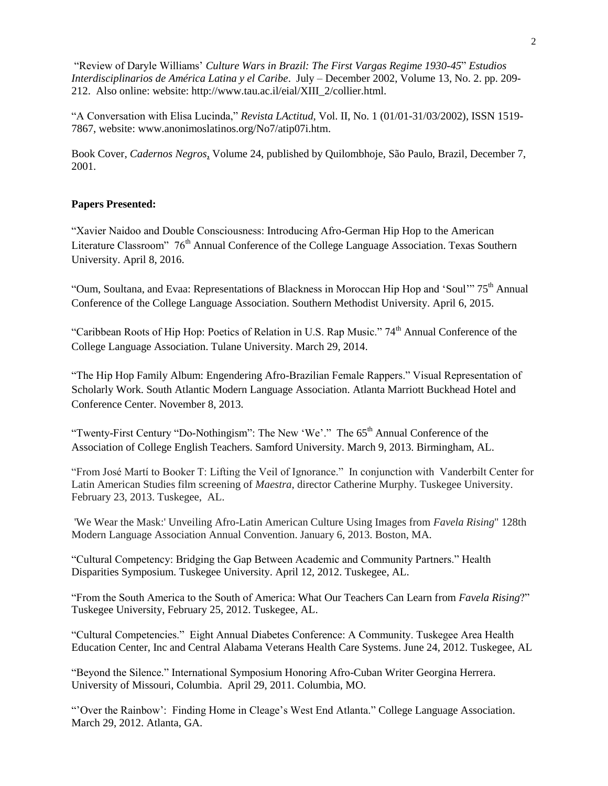"Review of Daryle Williams' *Culture Wars in Brazil: The First Vargas Regime 1930-45*" *Estudios Interdisciplinarios de América Latina y el Caribe*. July – December 2002, Volume 13, No. 2. pp. 209- 212. Also online: website: http://www.tau.ac.il/eial/XIII\_2/collier.html.

"A Conversation with Elisa Lucinda," *Revista LActitud*, Vol. II, No. 1 (01/01-31/03/2002), ISSN 1519- 7867, website: [www.anonimoslatinos.org/No7/atip07i.htm.](http://www.anonimoslatinos.org/No7/atip07i.htm)

Book Cover, *Cadernos Negros*, Volume 24, published by Quilombhoje, São Paulo, Brazil, December 7, 2001.

## **Papers Presented:**

"Xavier Naidoo and Double Consciousness: Introducing Afro-German Hip Hop to the American Literature Classroom" 76<sup>th</sup> Annual Conference of the College Language Association. Texas Southern University. April 8, 2016.

"Oum, Soultana, and Evaa: Representations of Blackness in Moroccan Hip Hop and 'Soul'" 75<sup>th</sup> Annual Conference of the College Language Association. Southern Methodist University. April 6, 2015.

"Caribbean Roots of Hip Hop: Poetics of Relation in U.S. Rap Music." 74<sup>th</sup> Annual Conference of the College Language Association. Tulane University. March 29, 2014.

"The Hip Hop Family Album: Engendering Afro-Brazilian Female Rappers." Visual Representation of Scholarly Work. South Atlantic Modern Language Association. Atlanta Marriott Buckhead Hotel and Conference Center. November 8, 2013.

"Twenty-First Century "Do-Nothingism": The New 'We'." The 65<sup>th</sup> Annual Conference of the Association of College English Teachers. Samford University. March 9, 2013. Birmingham, AL.

"From José Martí to Booker T: Lifting the Veil of Ignorance." In conjunction with Vanderbilt Center for Latin American Studies film screening of *Maestra*, director Catherine Murphy. Tuskegee University. February 23, 2013. Tuskegee, AL.

'We Wear the Mask:' Unveiling Afro-Latin American Culture Using Images from *Favela Rising*" 128th Modern Language Association Annual Convention. January 6, 2013. Boston, MA.

"Cultural Competency: Bridging the Gap Between Academic and Community Partners." Health Disparities Symposium. Tuskegee University. April 12, 2012. Tuskegee, AL.

"From the South America to the South of America: What Our Teachers Can Learn from *Favela Rising*?" Tuskegee University, February 25, 2012. Tuskegee, AL.

"Cultural Competencies." Eight Annual Diabetes Conference: A Community. Tuskegee Area Health Education Center, Inc and Central Alabama Veterans Health Care Systems. June 24, 2012. Tuskegee, AL

"Beyond the Silence." International Symposium Honoring Afro-Cuban Writer Georgina Herrera. University of Missouri, Columbia. April 29, 2011. Columbia, MO.

"'Over the Rainbow': Finding Home in Cleage's West End Atlanta." College Language Association. March 29, 2012. Atlanta, GA.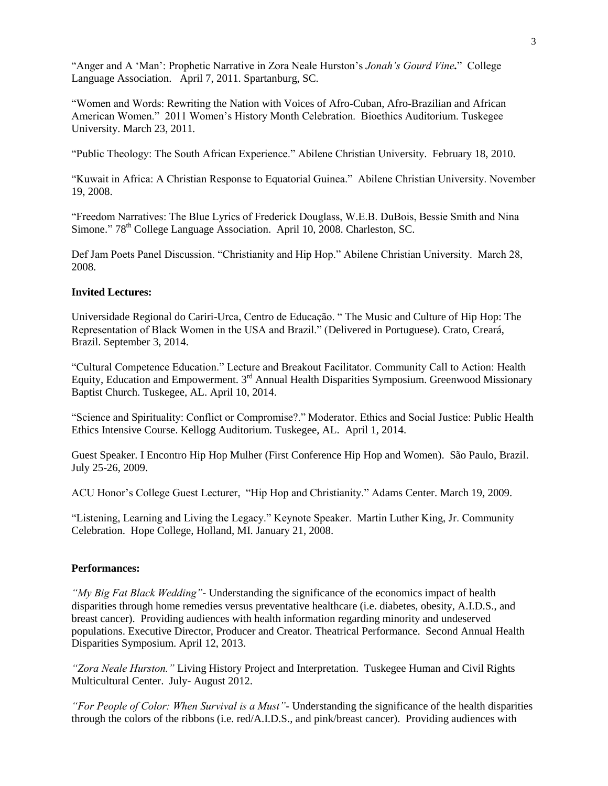"Anger and A 'Man': Prophetic Narrative in Zora Neale Hurston's *Jonah's Gourd Vine.*" College Language Association. April 7, 2011. Spartanburg, SC.

"Women and Words: Rewriting the Nation with Voices of Afro-Cuban, Afro-Brazilian and African American Women." 2011 Women's History Month Celebration. Bioethics Auditorium. Tuskegee University. March 23, 2011.

"Public Theology: The South African Experience." Abilene Christian University. February 18, 2010.

"Kuwait in Africa: A Christian Response to Equatorial Guinea." Abilene Christian University. November 19, 2008.

"Freedom Narratives: The Blue Lyrics of Frederick Douglass, W.E.B. DuBois, Bessie Smith and Nina Simone." 78<sup>th</sup> College Language Association. April 10, 2008. Charleston, SC.

Def Jam Poets Panel Discussion. "Christianity and Hip Hop." Abilene Christian University. March 28, 2008.

### **Invited Lectures:**

Universidade Regional do Cariri-Urca, Centro de Educação. " The Music and Culture of Hip Hop: The Representation of Black Women in the USA and Brazil." (Delivered in Portuguese). Crato, Creará, Brazil. September 3, 2014.

"Cultural Competence Education." Lecture and Breakout Facilitator. Community Call to Action: Health Equity, Education and Empowerment. 3rd Annual Health Disparities Symposium. Greenwood Missionary Baptist Church. Tuskegee, AL. April 10, 2014.

"Science and Spirituality: Conflict or Compromise?." Moderator. Ethics and Social Justice: Public Health Ethics Intensive Course. Kellogg Auditorium. Tuskegee, AL. April 1, 2014.

Guest Speaker. I Encontro Hip Hop Mulher (First Conference Hip Hop and Women). São Paulo, Brazil. July 25-26, 2009.

ACU Honor's College Guest Lecturer, "Hip Hop and Christianity." Adams Center. March 19, 2009.

"Listening, Learning and Living the Legacy." Keynote Speaker. Martin Luther King, Jr. Community Celebration. Hope College, Holland, MI. January 21, 2008.

#### **Performances:**

*"My Big Fat Black Wedding"-* Understanding the significance of the economics impact of health disparities through home remedies versus preventative healthcare (i.e. diabetes, obesity, A.I.D.S., and breast cancer). Providing audiences with health information regarding minority and undeserved populations. Executive Director, Producer and Creator. Theatrical Performance. Second Annual Health Disparities Symposium. April 12, 2013.

*"Zora Neale Hurston."* Living History Project and Interpretation. Tuskegee Human and Civil Rights Multicultural Center. July- August 2012.

*"For People of Color: When Survival is a Must"-* Understanding the significance of the health disparities through the colors of the ribbons (i.e. red/A.I.D.S., and pink/breast cancer). Providing audiences with